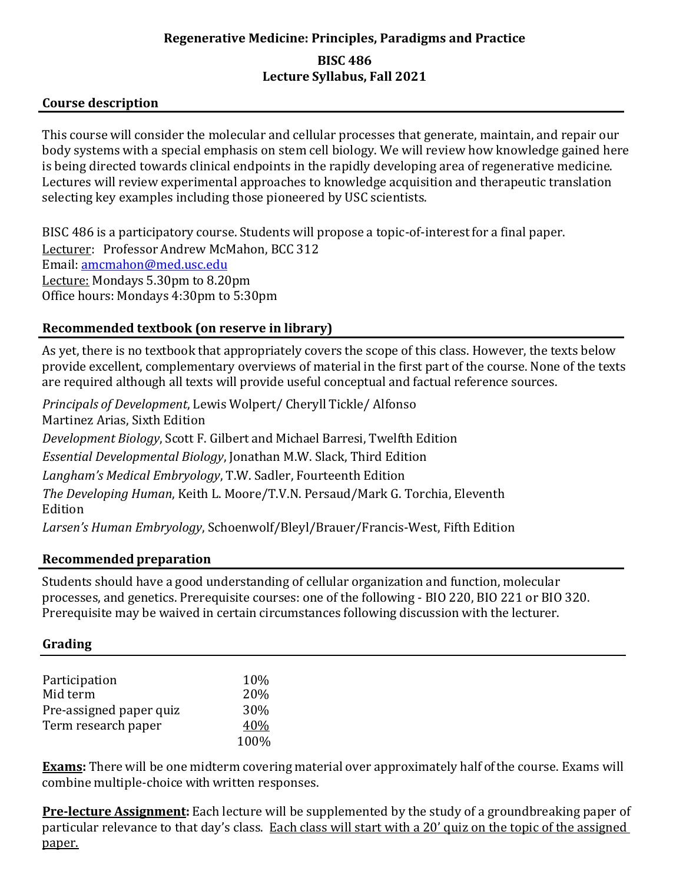## **Regenerative Medicine: Principles, Paradigms and Practice BISC 486 Lecture Syllabus, Fall 2021**

## **Course description**

This course will consider the molecular and cellular processes that generate, maintain, and repair our body systems with a special emphasis on stem cell biology. We will review how knowledge gained here is being directed towards clinical endpoints in the rapidly developing area of regenerative medicine. Lectures will review experimental approaches to knowledge acquisition and therapeutic translation selecting key examples including those pioneered by USC scientists.

BISC 486 is a participatory course. Students will propose a topic-of-interest for a final paper. Lecturer: Professor Andrew McMahon, BCC 312 Email: [amcmahon@med.usc.edu](mailto:amcmahon@med.usc.edu) Lecture: Mondays 5.30pm to 8.20pm Office hours: Mondays 4:30pm to 5:30pm

## **Recommended textbook (on reserve in library)**

As yet, there is no textbook that appropriately covers the scope of this class. However, the texts below provide excellent, complementary overviews of material in the first part of the course. None of the texts are required although all texts will provide useful conceptual and factual reference sources.

*Principals of Development*, Lewis Wolpert/ Cheryll Tickle/ Alfonso Martinez Arias, Sixth Edition *Development Biology*, Scott F. Gilbert and Michael Barresi, Twelfth Edition *Essential Developmental Biology*, Jonathan M.W. Slack, Third Edition *Langham's Medical Embryology*, T.W. Sadler, Fourteenth Edition *The Developing Human*, Keith L. Moore/T.V.N. Persaud/Mark G. Torchia, Eleventh Edition *Larsen's Human Embryology*, Schoenwolf/Bleyl/Brauer/Francis-West, Fifth Edition

#### **Recommended preparation**

Students should have a good understanding of cellular organization and function, molecular processes, and genetics. Prerequisite courses: one of the following - BIO 220, BIO 221 or BIO 320. Prerequisite may be waived in certain circumstances following discussion with the lecturer.

## **Grading**

| Participation           | 10%  |
|-------------------------|------|
| Mid term                | 20%  |
| Pre-assigned paper quiz | 30\% |
| Term research paper     | 40%  |
|                         | 100% |

**Exams:** There will be one midterm covering material over approximately half of the course. Exams will combine multiple-choice with written responses.

**Pre-lecture Assignment:** Each lecture will be supplemented by the study of a groundbreaking paper of particular relevance to that day's class. Each class will start with a 20' quiz on the topic of the assigned paper.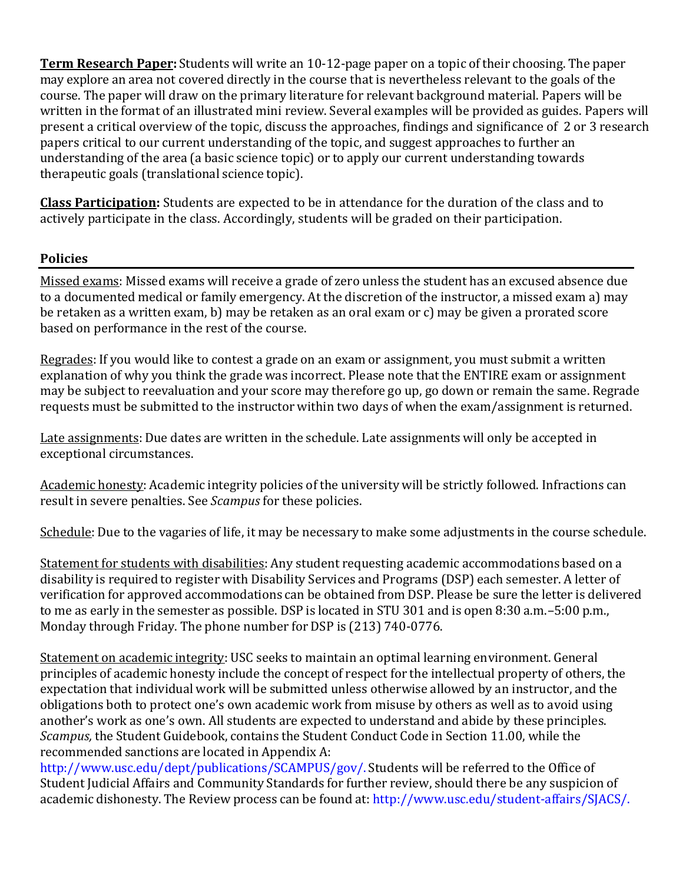**Term Research Paper:** Students will write an 10-12-page paper on a topic of their choosing. The paper may explore an area not covered directly in the course that is nevertheless relevant to the goals of the course. The paper will draw on the primary literature for relevant background material. Papers will be written in the format of an illustrated mini review. Several examples will be provided as guides. Papers will present a critical overview of the topic, discuss the approaches, findings and significance of 2 or 3 research papers critical to our current understanding of the topic, and suggest approaches to further an understanding of the area (a basic science topic) or to apply our current understanding towards therapeutic goals (translational science topic).

**Class Participation:** Students are expected to be in attendance for the duration of the class and to actively participate in the class. Accordingly, students will be graded on their participation.

## **Policies**

Missed exams: Missed exams will receive a grade of zero unless the student has an excused absence due to a documented medical or family emergency. At the discretion of the instructor, a missed exam a) may be retaken as a written exam, b) may be retaken as an oral exam or c) may be given a prorated score based on performance in the rest of the course.

Regrades: If you would like to contest a grade on an exam or assignment, you must submit a written explanation of why you think the grade was incorrect. Please note that the ENTIRE exam or assignment may be subject to reevaluation and your score may therefore go up, go down or remain the same. Regrade requests must be submitted to the instructor within two days of when the exam/assignment is returned.

Late assignments: Due dates are written in the schedule. Late assignments will only be accepted in exceptional circumstances.

Academic honesty: Academic integrity policies of the university will be strictly followed. Infractions can result in severe penalties. See *Scampus* for these policies.

Schedule: Due to the vagaries of life, it may be necessary to make some adjustments in the course schedule.

Statement for students with disabilities: Any student requesting academic accommodations based on a disability is required to register with Disability Services and Programs (DSP) each semester. A letter of verification for approved accommodations can be obtained from DSP. Please be sure the letter is delivered to me as early in the semester as possible. DSP is located in STU 301 and is open 8:30 a.m.–5:00 p.m., Monday through Friday. The phone number for DSP is (213) 740-0776.

Statement on academic integrity: USC seeks to maintain an optimal learning environment. General principles of academic honesty include the concept of respect for the intellectual property of others, the expectation that individual work will be submitted unless otherwise allowed by an instructor, and the obligations both to protect one's own academic work from misuse by others as well as to avoid using another's work as one's own. All students are expected to understand and abide by these principles. *Scampus,* the Student Guidebook, contains the Student Conduct Code in Section 11.00, while the recommended sanctions are located in Appendix A:

[http://www.usc.edu/dept/publications/SCAMPUS/gov/.](http://www.usc.edu/dept/publications/SCAMPUS/gov/) Students will be referred to the Office of Student Judicial Affairs and Community Standards for further review, should there be any suspicion of academic dishonesty. The Review process can be found at: [http://www.usc.edu/student-affairs/SJACS/.](http://www.usc.edu/student-affairs/SJACS/)